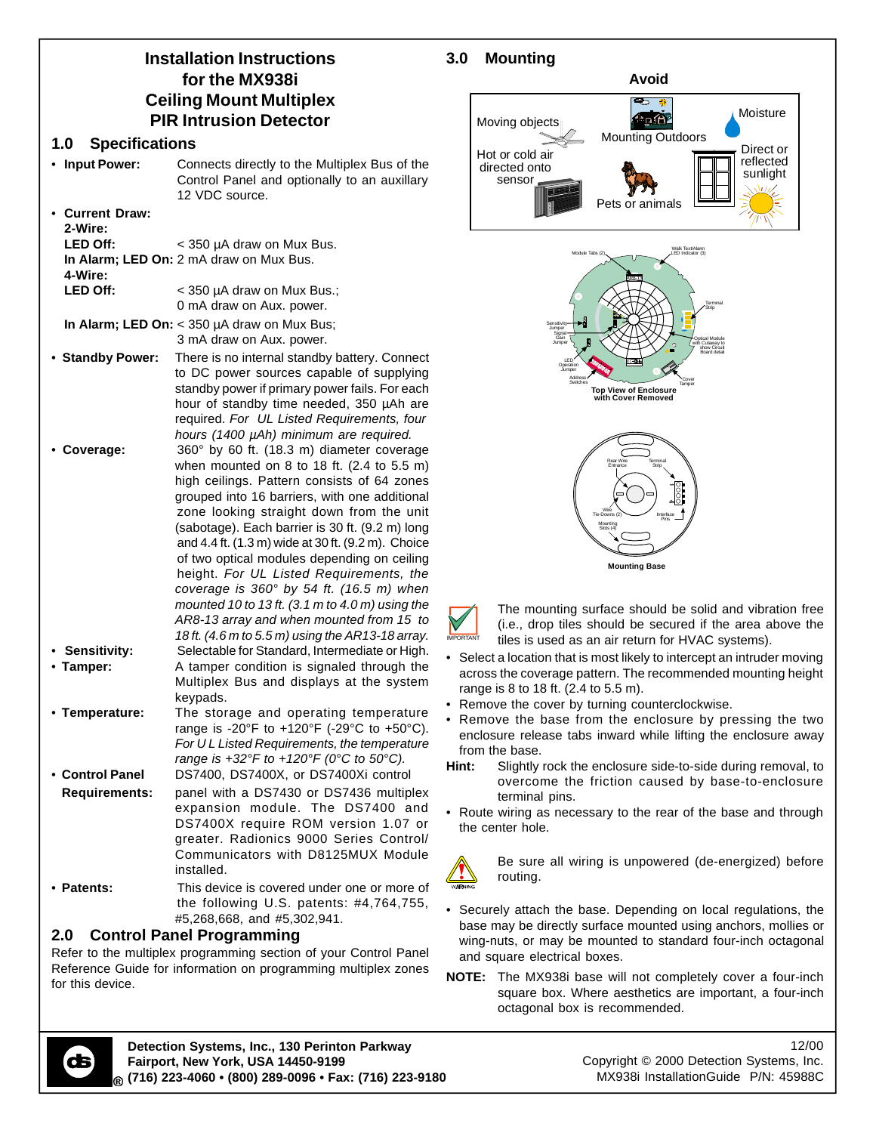# **Installation Instructions for the MX938i Ceiling Mount Multiplex PIR Intrusion Detector**

#### **1.0 Specifications**

- **Input Power:** Connects directly to the Multiplex Bus of the Control Panel and optionally to an auxillary 12 VDC source.
- **Current Draw: 2-Wire:** LED Off: < 350 µA draw on Mux Bus. **In Alarm; LED On:** 2 mA draw on Mux Bus. **4-Wire:** LED Off: < 350 µA draw on Mux Bus.; 0 mA draw on Aux. power.
- **In Alarm; LED On:** < 350 µA draw on Mux Bus; 3 mA draw on Aux. power. • **Standby Power:** There is no internal standby battery. Connect to DC power sources capable of supplying standby power if primary power fails. For each hour of standby time needed, 350 µAh are required. *For UL Listed Requirements, four*
- *hours (1400 µAh) minimum are required.* • **Coverage:** 360° by 60 ft. (18.3 m) diameter coverage when mounted on 8 to 18 ft. (2.4 to 5.5 m) high ceilings. Pattern consists of 64 zones grouped into 16 barriers, with one additional zone looking straight down from the unit (sabotage). Each barrier is 30 ft. (9.2 m) long and 4.4 ft. (1.3 m) wide at 30 ft. (9.2 m). Choice of two optical modules depending on ceiling height. *For UL Listed Requirements, the coverage is 360° by 54 ft. (16.5 m) when mounted 10 to 13 ft. (3.1 m to 4.0 m) using the AR8-13 array and when mounted from 15 to 18 ft. (4.6 m to 5.5 m) using the AR13-18 array.* • **Sensitivity:** Selectable for Standard, Intermediate or High.
- **Tamper:** A tamper condition is signaled through the Multiplex Bus and displays at the system keypads.
- **Temperature:** The storage and operating temperature range is -20°F to  $+120$ °F (-29°C to  $+50$ °C). *For U L Listed Requirements, the temperature range is +32°F to +120°F (0°C to 50°C).*
- **Control Panel** DS7400, DS7400X, or DS7400Xi control **Requirements:** panel with a DS7430 or DS7436 multiplex expansion module. The DS7400 and DS7400X require ROM version 1.07 or greater. Radionics 9000 Series Control/ Communicators with D8125MUX Module
- installed. • **Patents:** This device is covered under one or more of the following U.S. patents: #4,764,755, #5,268,668, and #5,302,941.

# **2.0 Control Panel Programming**

Refer to the multiplex programming section of your Control Panel Reference Guide for information on programming multiplex zones for this device.

# **3.0 Mounting**





The mounting surface should be solid and vibration free (i.e., drop tiles should be secured if the area above the tiles is used as an air return for HVAC systems).

- Select a location that is most likely to intercept an intruder moving across the coverage pattern. The recommended mounting height range is 8 to 18 ft. (2.4 to 5.5 m).
- Remove the cover by turning counterclockwise.
- Remove the base from the enclosure by pressing the two enclosure release tabs inward while lifting the enclosure away from the base.
- **Hint:** Slightly rock the enclosure side-to-side during removal, to overcome the friction caused by base-to-enclosure terminal pins.
- Route wiring as necessary to the rear of the base and through the center hole.



Be sure all wiring is unpowered (de-energized) before routing.

- Securely attach the base. Depending on local regulations, the base may be directly surface mounted using anchors, mollies or wing-nuts, or may be mounted to standard four-inch octagonal and square electrical boxes.
- **NOTE:** The MX938i base will not completely cover a four-inch square box. Where aesthetics are important, a four-inch octagonal box is recommended.



**Detection Systems, Inc., 130 Perinton Parkway Fairport, New York, USA 14450-9199 (716) 223-4060 • (800) 289-0096 • Fax: (716) 223-9180**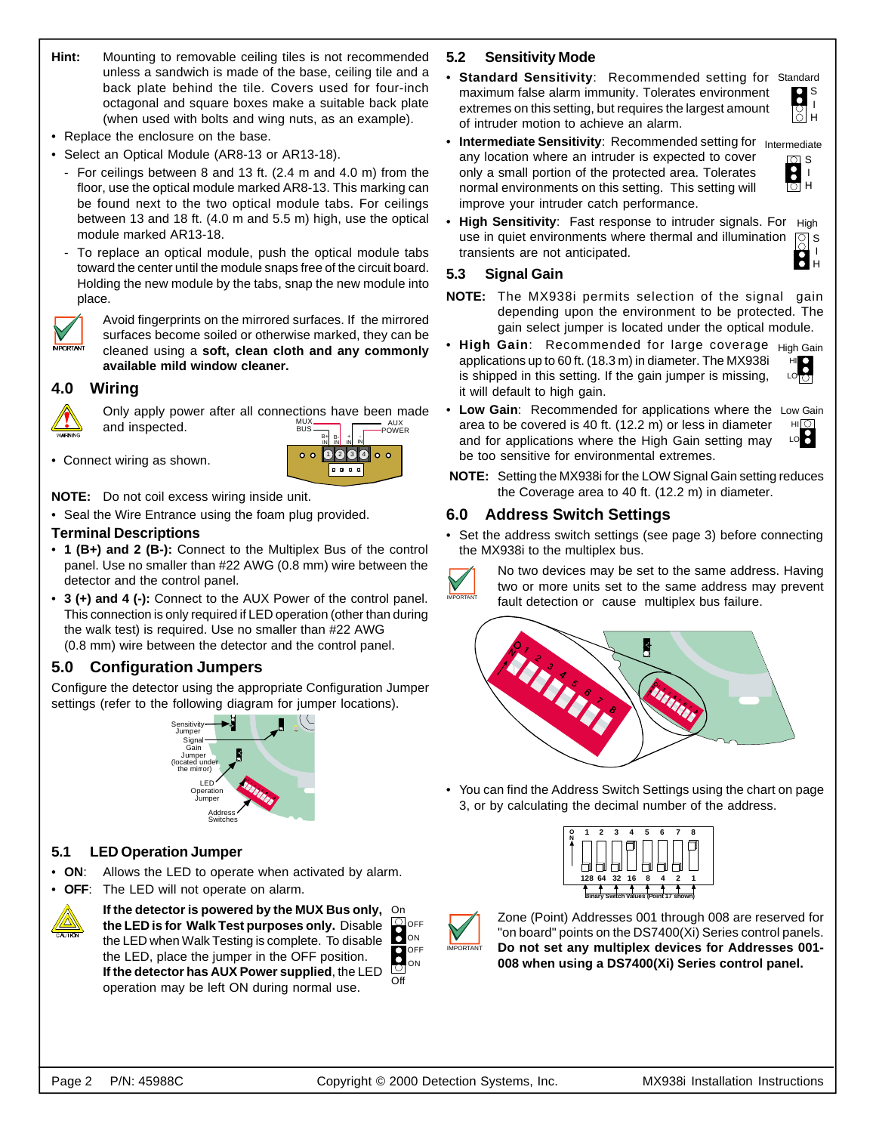- **Hint:** Mounting to removable ceiling tiles is not recommended unless a sandwich is made of the base, ceiling tile and a back plate behind the tile. Covers used for four-inch octagonal and square boxes make a suitable back plate (when used with bolts and wing nuts, as an example).
- Replace the enclosure on the base.
- Select an Optical Module (AR8-13 or AR13-18).
	- For ceilings between 8 and 13 ft. (2.4 m and 4.0 m) from the floor, use the optical module marked AR8-13. This marking can be found next to the two optical module tabs. For ceilings between 13 and 18 ft. (4.0 m and 5.5 m) high, use the optical module marked AR13-18.
	- To replace an optical module, push the optical module tabs toward the center until the module snaps free of the circuit board. Holding the new module by the tabs, snap the new module into place.



Avoid fingerprints on the mirrored surfaces. If the mirrored surfaces become soiled or otherwise marked, they can be cleaned using a **soft, clean cloth and any commonly available mild window cleaner.**

#### **4.0 Wiring**



Only apply power after all connections have been made and inspected. MUX BUS AUX POWER

• Connect wiring as shown.



## **NOTE:** Do not coil excess wiring inside unit.

• Seal the Wire Entrance using the foam plug provided.

#### **Terminal Descriptions**

- **1 (B+) and 2 (B-):** Connect to the Multiplex Bus of the control panel. Use no smaller than #22 AWG (0.8 mm) wire between the detector and the control panel.
- **3 (+) and 4 (-):** Connect to the AUX Power of the control panel. This connection is only required if LED operation (other than during the walk test) is required. Use no smaller than #22 AWG (0.8 mm) wire between the detector and the control panel.

# **5.0 Configuration Jumpers**

Configure the detector using the appropriate Configuration Jumper settings (refer to the following diagram for jumper locations).



#### **5.1 LED Operation Jumper**

- **ON**: Allows the LED to operate when activated by alarm.
	- **OFF:** The LED will not operate on alarm.



**If the detector is powered by the MUX Bus only,** On **the LED is for Walk Test purposes only.** Disable the LED when Walk Testing is complete. To disable the LED, place the jumper in the OFF position. **If the detector has AUX Power supplied**, the LED operation may be left ON during normal use.

## **5.2 Sensitivity Mode**

**• Standard Sensitivity**: Recommended setting for Standard maximum false alarm immunity. Tolerates environment extremes on this setting, but requires the largest amount of intruder motion to achieve an alarm.



**• Intermediate Sensitivity**: Recommended setting for <sub>Intermediate</sub> any location where an intruder is expected to cover only a small portion of the protected area. Tolerates normal environments on this setting. This setting will improve your intruder catch performance.



**• High Sensitivity**: Fast response to intruder signals. For High  $\boxed{8}$ I H use in quiet environments where thermal and illumination transients are not anticipated.

#### **5.3 Signal Gain**

- **NOTE:** The MX938i permits selection of the signal gain depending upon the environment to be protected. The gain select jumper is located under the optical module.
- **High Gain**: Recommended for large coverage High Gain applications up to 60 ft. (18.3 m) in diameter. The MX938i HI  $\mathbf{S}$ is shipped in this setting. If the gain jumper is missing, LO it will default to high gain.
- **Low Gain**: Recommended for applications where the Low Gain area to be covered is 40 ft. (12.2 m) or less in diameter and for applications where the High Gain setting may be too sensitive for environmental extremes. ні $\overline{\Omega}$ LO<sub>8</sub>

**NOTE:** Setting the MX938i for the LOW Signal Gain setting reduces the Coverage area to 40 ft. (12.2 m) in diameter.

#### **6.0 Address Switch Settings**

• Set the address switch settings (see page 3) before connecting the MX938i to the multiplex bus.



No two devices may be set to the same address. Having two or more units set to the same address may prevent fault detection or cause multiplex bus failure.



• You can find the Address Switch Settings using the chart on page 3, or by calculating the decimal number of the address.





ON OFF

Off ON OFF

 $\overline{\mathbf{S}}$ 

Zone (Point) Addresses 001 through 008 are reserved for "on board" points on the DS7400(Xi) Series control panels. **Do not set any multiplex devices for Addresses 001- 008 when using a DS7400(Xi) Series control panel.**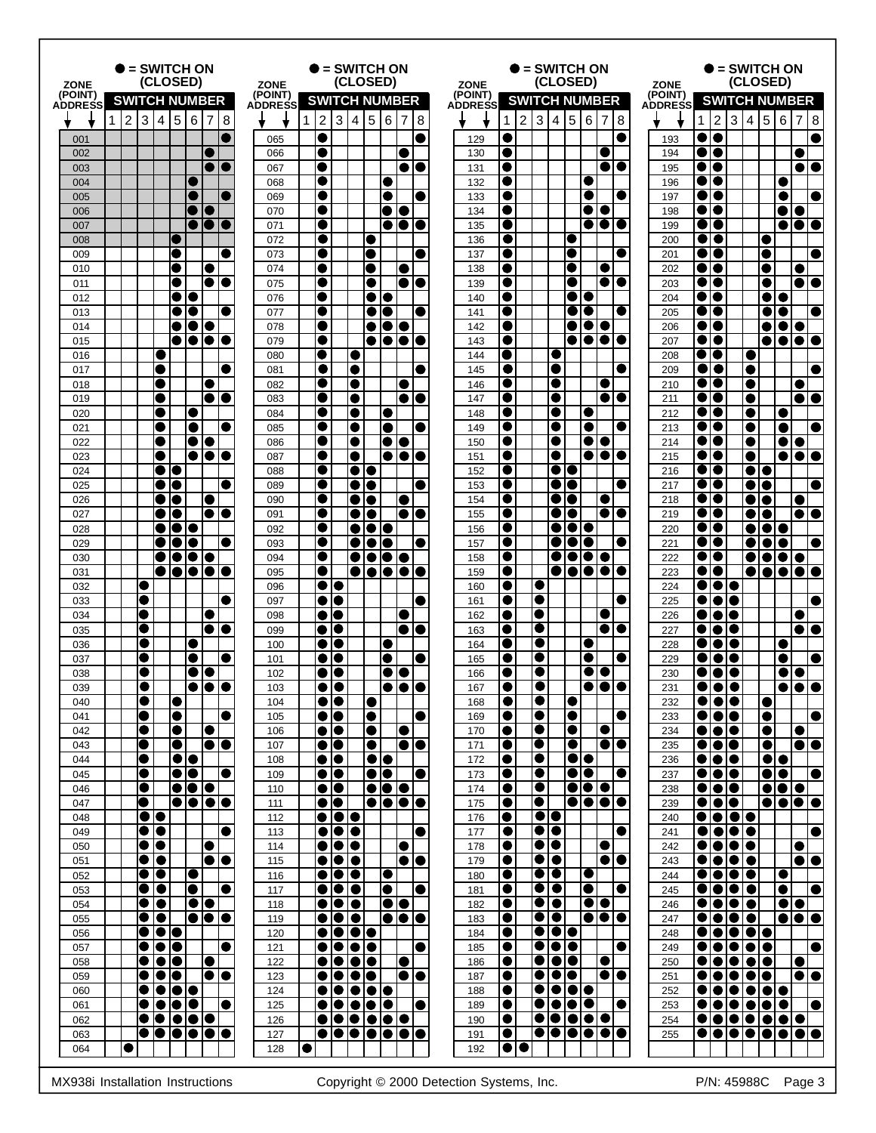|                | $\bullet$ = SWITCH ON<br>(CLOSED)<br><b>ZONE</b>                                      |                                                                        | = SWITCH ON<br>(CLOSED)<br><b>ZONE</b> |                                                          |                                                          |                         | $=$ SWITCH ON<br>(CLOSED)<br><b>ZONE</b>                                                        |                                                             |                | $=$ SWITCH ON<br>(CLOSED)<br><b>ZONE</b>                        |                                                                         |  |
|----------------|---------------------------------------------------------------------------------------|------------------------------------------------------------------------|----------------------------------------|----------------------------------------------------------|----------------------------------------------------------|-------------------------|-------------------------------------------------------------------------------------------------|-------------------------------------------------------------|----------------|-----------------------------------------------------------------|-------------------------------------------------------------------------|--|
| (POINT)        | <b>SWITCH NUMBER</b>                                                                  |                                                                        | (POINT)                                |                                                          | <b>SWITCH NUMBER</b>                                     | (POINT)                 | <b>SWITCH NUMBER</b>                                                                            |                                                             | (POINT)        |                                                                 | <b>SWITCH NUMBER</b>                                                    |  |
| <b>ADDRESS</b> |                                                                                       |                                                                        | <b>ADDRESS</b>                         |                                                          |                                                          | <b>ADDRESS</b>          |                                                                                                 |                                                             | <b>ADDRESS</b> |                                                                 |                                                                         |  |
|                | $\overline{5}$<br>$\overline{c}$<br>$\mathbf{3}$<br>4                                 | 6<br>$\mathbf{8}$<br>7                                                 |                                        | $\overline{2}$<br>3<br>$\overline{4}$<br>1               | $\overline{5}$<br>6<br>$\overline{7}$                    | 8                       | $\overline{2}$<br>$\mathbf{3}$<br>$\overline{4}$<br>1                                           | 5<br>$6 \mid 7$<br>8                                        |                | $\overline{2}$<br>3<br>$\overline{4}$<br>1                      | $\overline{5}$<br>l6<br>7<br>8                                          |  |
| 001            |                                                                                       |                                                                        | 065                                    | 0                                                        |                                                          | 129                     | Ο.                                                                                              |                                                             | 193            |                                                                 |                                                                         |  |
| 002            |                                                                                       |                                                                        | 066                                    | $\bullet$<br>$\bullet$                                   |                                                          | 130                     | u<br>0                                                                                          |                                                             | 194            | ● ●                                                             | e I O                                                                   |  |
| 003<br>004     |                                                                                       |                                                                        | 067<br>068                             | $\bullet$                                                |                                                          | 131<br>132              | €                                                                                               |                                                             | 195<br>196     |                                                                 |                                                                         |  |
| 005            |                                                                                       |                                                                        | 069                                    | 0                                                        | ●                                                        | 133                     | ●                                                                                               |                                                             | 197            | $\bullet\bullet$                                                |                                                                         |  |
| 006            |                                                                                       |                                                                        | 070                                    | $\bullet$                                                | . .                                                      | 134                     | ●                                                                                               | 81 O                                                        | 198            | $\bullet\bullet$                                                | ●                                                                       |  |
| 007            |                                                                                       | $\bullet\bullet\bullet$                                                | 071                                    | $\bullet$                                                | 0 IO IO                                                  | 135                     | ●                                                                                               | eio                                                         | 199            | $\bullet\bullet$                                                | $\bullet$ $\bullet$ $\bullet$<br>$\bullet$                              |  |
| 008            |                                                                                       |                                                                        | 072                                    |                                                          |                                                          | 136                     | ●                                                                                               | $\bullet$                                                   | 200            | $\bullet$                                                       |                                                                         |  |
| 009            |                                                                                       |                                                                        | 073<br>074                             | $\bullet$<br>$\bullet$                                   |                                                          | 137                     | C                                                                                               | O<br>O                                                      | 201            | 0<br>●<br>0 0                                                   | C                                                                       |  |
| 010<br>011     | c                                                                                     | $\bullet$ 12                                                           | 075                                    | ●                                                        | ●<br>●                                                   | 138<br>139              | O<br>●                                                                                          | ●                                                           | 202<br>203     | $\bullet\bullet$                                                | ю<br>$\bullet$<br>$\bullet$                                             |  |
| 012            |                                                                                       |                                                                        | 076                                    | $\bullet$                                                |                                                          | 140                     | C                                                                                               | ●                                                           | 204            | $\bullet\bullet$                                                |                                                                         |  |
| 013            |                                                                                       |                                                                        | 077                                    | $\bullet$                                                |                                                          | 141                     | c                                                                                               |                                                             | 205            | ●।●                                                             |                                                                         |  |
| 014            | O                                                                                     | $\bullet$<br>$\bullet$                                                 | 078                                    | 0                                                        | $\bullet$<br>$\bullet\bullet$                            | 142                     |                                                                                                 | $\bullet\bullet\bullet$                                     | 206            | $\bullet\bullet$                                                | ● ● ● ●                                                                 |  |
| 015            |                                                                                       | ●<br>$\bullet$                                                         | 079                                    | 0                                                        | 00<br>9                                                  | 143                     | Œ                                                                                               | $\bullet$<br>IOIO                                           | 207            | $\bullet$<br>●                                                  | .                                                                       |  |
| 016            |                                                                                       |                                                                        | 080                                    | G                                                        |                                                          | 144                     | o                                                                                               |                                                             | 208            | $\bullet\bullet$<br>ч.                                          |                                                                         |  |
| 017            | $\bullet$                                                                             |                                                                        | 081                                    | $\bullet$<br>0<br>0<br>0                                 |                                                          | 145                     | 0<br>D<br>c                                                                                     |                                                             | 209            | $\bullet$<br>$\bullet$<br>$\bullet$<br>●●                       | œ                                                                       |  |
| 018<br>019     | $\blacksquare$                                                                        | 0 I Q                                                                  | 082<br>083                             | 0<br>0                                                   | $\bullet$ IC                                             | 146<br>147              | c                                                                                               |                                                             | 210<br>211     | C<br>$\bullet\bullet$                                           | $\bullet$ io                                                            |  |
| 020            |                                                                                       |                                                                        | 084                                    | $\bullet$<br>$\bullet$                                   |                                                          | 148                     | D<br>c                                                                                          |                                                             | 212            | $\bullet$<br>$\bullet$<br>$\bullet$                             | c                                                                       |  |
| 021            |                                                                                       | 0                                                                      | 085                                    | $\bullet$                                                |                                                          | 149                     | c                                                                                               |                                                             | 213            | $\bullet\bullet$<br>0                                           | $\bullet$                                                               |  |
| 022            |                                                                                       | ●<br>$\bullet$                                                         | 086                                    | c                                                        | $\bullet\bullet$                                         | 150                     | ●                                                                                               | ● 1 ●                                                       | 214            | $\bullet\bullet$<br>0                                           | $\bullet$<br>$\bullet$                                                  |  |
| 023            |                                                                                       | $\bullet\bullet\bullet$                                                | 087                                    | 0<br>●                                                   | e le la                                                  | 151                     | c<br>D                                                                                          | $\bullet\bullet$                                            | 215            | $\bullet\bullet$<br>$\bullet$                                   | $\bullet$<br>$\bullet$<br>O                                             |  |
| 024<br>025     | $\bullet$<br>$\bullet$ IO                                                             |                                                                        | 088<br>089                             | 0<br>O                                                   | $\bullet$ 10<br>● 10                                     | 152<br>153              | DIO<br>c<br>DIO<br>0                                                                            |                                                             | 216<br>217     | ●●<br>$\bullet\bullet$                                          | $\bullet\bullet$<br>$\bullet\bullet$                                    |  |
| 026            | $\bullet$                                                                             |                                                                        | 090                                    | $\bullet$                                                | e<br>●                                                   | 154                     | ele<br>C                                                                                        |                                                             | 218            | $\bullet\bullet$<br>$\bullet$                                   | lo                                                                      |  |
| 027            | $\bullet$                                                                             | $\bullet$ IC                                                           | 091                                    | 0                                                        | eic<br>IO                                                | 155                     | DIO<br>v                                                                                        | ●                                                           | 219            | ●●                                                              | $\bullet\bullet$<br>$\bullet$ i $\bullet$                               |  |
| 028            | 810 I O                                                                               |                                                                        | 092                                    | 0                                                        | 10 I O                                                   | 156                     | ●                                                                                               | eleie                                                       | 220            | $\bullet\bullet$                                                | $\bullet\bullet\bullet$                                                 |  |
| 029            |                                                                                       | $\bullet$ io                                                           | 093                                    | 0                                                        | 0   0   0                                                | 157                     | DIO<br>c                                                                                        | IO                                                          | 221            | $\bullet$<br>$\bullet$                                          | $\bullet\bullet\bullet$                                                 |  |
| 030            |                                                                                       | IO IO IO IO                                                            | 094                                    |                                                          | 0   0   0   0                                            | 158                     | ●                                                                                               | OIOIOIO                                                     | 222            | ●●                                                              | elelele                                                                 |  |
| 031            | $\bullet$<br>●                                                                        | e le le le                                                             | 095                                    | $\bullet$<br>$\bullet\bullet$                            | 0   0   0   0   0                                        | 159                     | C<br>●<br>O                                                                                     | eleiele                                                     | 223            | $\bullet$<br>$\bullet$<br>$\bullet\bullet\bullet$               | $\bullet\bullet\bullet\bullet$<br>$\bullet$<br>O                        |  |
| 032<br>033     | 0                                                                                     |                                                                        | 096<br>097                             | $\bullet$ 10                                             |                                                          | 160<br>161              | ●<br>●                                                                                          |                                                             | 224<br>225     | .                                                               |                                                                         |  |
| 034            | $\bullet$                                                                             |                                                                        | 098                                    | $\bullet$<br>lO                                          |                                                          | 162                     | 0<br>e                                                                                          |                                                             | 226            | IO<br>$\bullet$                                                 | Œ                                                                       |  |
| 035            | 0                                                                                     | DIO                                                                    | 099                                    | 0<br>ю                                                   | $\bullet$                                                | 163                     | O<br>●                                                                                          |                                                             | 227            | $\bullet\bullet\bullet$                                         | ele                                                                     |  |
| 036            | c                                                                                     |                                                                        | 100                                    | $\bullet$<br>Ю                                           |                                                          | 164                     | ●<br>c                                                                                          |                                                             | 228            | IO<br>$\bullet$<br>●                                            | $\bullet$                                                               |  |
| 037            | C                                                                                     |                                                                        | 101                                    | 0<br>●                                                   |                                                          | 165                     | O<br>Œ                                                                                          |                                                             | 229            | $\bullet$<br>0                                                  |                                                                         |  |
| 038<br>039     | C<br>$\bullet$                                                                        | o<br>$\bullet$<br>●                                                    | 102<br>103                             | K.<br>$\bullet$<br>O                                     | $\bullet$                                                | 166<br>167              | v                                                                                               |                                                             | 230<br>231     |                                                                 | v<br>$\bullet$                                                          |  |
| 040            | $\bullet$<br>●                                                                        |                                                                        | 104                                    | $\bullet\bullet$                                         | $\bullet$                                                | 168                     | $\bullet$<br>●                                                                                  | $\bullet$                                                   | 232            | $\bullet\bullet\bullet$                                         | $\bullet$                                                               |  |
| 041            | $\bullet$<br>$\bullet$                                                                | $\bullet$                                                              | 105                                    | $\bullet\bullet$                                         | $\bullet$                                                | $\bullet$<br>169        | $\bullet$<br>$\bullet$                                                                          | $\bullet$                                                   | 233            | $\overline{\bullet}\overline{\bullet}\bullet$                   | $\bullet$<br>$\bullet$                                                  |  |
| 042            | $\bullet$<br>$\bullet$                                                                | ●                                                                      | 106                                    | $\bullet\bullet$                                         | $\bullet$<br>$\bullet$                                   | 170                     | ●<br>$\bullet$                                                                                  | $\bullet$<br>●                                              | 234            | $\bullet\bullet\bullet$                                         | $\bullet$<br>$\bullet$                                                  |  |
| 043            | $\bullet$<br>$\bullet$                                                                | $\bullet\bullet$                                                       | 107                                    | $\overline{\bullet}$                                     | $\overline{\bullet}\overline{\bullet}$<br>$\bullet$      | 171                     | ●<br>●                                                                                          | $\bullet$<br>$\bullet\bullet$                               | 235            | $\overline{\bullet}\overline{\bullet}$                          | $\bullet\bullet$<br>$\bullet$                                           |  |
| 044            | $\bullet$                                                                             | $\bullet\bullet$                                                       | 108                                    | $\bullet\bullet$                                         | $\bullet\bullet$                                         | 172                     | ●<br>●                                                                                          | $\bullet$ $\bullet$ $\bullet$                               | 236            | $\bullet   \bullet   \overline{\bullet}$                        | $\bullet\bullet$                                                        |  |
| 045<br>046     | $\bullet$<br>$\bullet$                                                                | $\bullet\bullet$<br>lO<br>$\overline{\bullet}\vert\bullet\vert\bullet$ | 109<br>110                             | $\bullet\bullet$<br>$\bullet\bullet$                     | $\bullet\bullet$<br>$\bullet\bullet\bullet$              | $\bullet$<br>173<br>174 | $\bullet$<br>$\bullet$<br>$\bullet$<br>$\bullet$                                                | $\bullet$<br>0<br>$\boxed{\bullet   \bullet   \bullet}$     | 237<br>238     | $\bullet\bullet\bullet$<br>$\frac{\bullet}{\bullet}$            | $\overline{\bullet}\overline{\bullet}$<br>lo<br>$\bullet\bullet\bullet$ |  |
| 047            | $\bullet$                                                                             | $\bullet\bullet\bullet\bullet$                                         | 111                                    | $\overline{\bullet}\overline{\bullet}$                   | $\boxed{\bullet   \bullet   \bullet   \bullet}$          | 175                     | $\bullet$<br>●                                                                                  | $\left \bullet\right \bullet\left \bullet\right $           | 239            | $\frac{\bullet}{\bullet}$                                       | $\left \bullet\right \bullet\left \bullet\right $                       |  |
| 048            | $\overline{\bullet}\bullet$                                                           |                                                                        | 112                                    | $\overline{\bullet}\overline{\bullet}\overline{\bullet}$ |                                                          | 176                     | $\bullet\bullet$<br>●                                                                           |                                                             | 240            | $\bullet\bullet\bullet\bullet$                                  |                                                                         |  |
| 049            | $\bullet\bullet$                                                                      | lo                                                                     | 113                                    | $\bullet\bullet\bullet$                                  |                                                          | 177                     | $\overline{\bullet\bullet}$<br>$\bullet$                                                        | 0                                                           | 241            | $\bullet\bullet\bullet\bullet$                                  | $\bullet$                                                               |  |
| 050            | $\bullet\bullet$                                                                      | $\bullet$                                                              | 114                                    | $\bullet\overline{\bullet\bullet}$                       | $\bullet$                                                | 178                     | $\bullet$ $\bullet$ $\bullet$<br>●                                                              | ●                                                           | 242            | $\bullet\bullet\bullet\bullet$                                  | $\bullet$                                                               |  |
| 051            | $\overline{\bullet}\overline{\bullet}$                                                | $  \bullet   \bullet$                                                  | 115                                    | $\overline{\bullet}\overline{\bullet}\overline{\bullet}$ | IOIO                                                     | 179                     | $\bullet\bullet$<br>●<br>$  \bullet   \bullet  $                                                | $\bullet\bullet$<br>$\bullet$                               | 243            | $\bullet\bullet\bullet\bullet$<br>$\bullet$ $\bullet$ $\bullet$ | $  \bullet   \bullet$                                                   |  |
| 052<br>053     | $\bullet\bullet$<br>$\bullet\bullet$                                                  | $\bullet$<br>$\bullet$<br>lo                                           | 116<br>117                             | $\frac{\bullet}{\bullet}$<br>$\bullet\bullet\bullet$     | $\bullet$<br>$\bullet$                                   | 180<br>$\bullet$<br>181 | ●<br>$\bullet$ $\bullet$<br>$\bullet$                                                           | $\bullet$<br>$\bullet$                                      | 244<br>245     | $\bullet\bullet\bullet\bullet$                                  | $\bullet$<br>$\overline{\bullet}$<br>lo                                 |  |
| 054            | $\overline{\bullet}\overline{\bullet}$                                                | $\bullet\bullet$                                                       | 118                                    | $\bullet\bullet\bullet$                                  | $\bullet$                                                | 182                     | $\overline{\bullet  \bullet  }$<br>$\bullet$                                                    | $\bullet \bullet$                                           | 246            | $\bullet \bullet \bullet \bullet$                               | $\bullet\bullet$                                                        |  |
| 055            | ● ●                                                                                   | $\overline{\bullet}\overline{\bullet}\overline{\bullet}$               | 119                                    | $\bullet\bullet\bullet$                                  | $\bullet\bullet\bullet$                                  | 183                     | $  \bullet   \bullet  $<br>●                                                                    | $\bullet$ $\bullet$ $\bullet$                               | 247            | $\bullet \bullet \bullet \bullet$                               | IO 10 10                                                                |  |
| 056            | $\bullet\bullet\bullet$                                                               |                                                                        | 120                                    | $\bullet\bullet\bullet\bullet$                           |                                                          | 184                     | $\bullet$<br>$\bullet\bullet\bullet$                                                            |                                                             | 248            | $\bullet\bullet\bullet\bullet\bullet$                           |                                                                         |  |
| 057            | $\bullet\bullet\bullet$                                                               | $\bullet$                                                              | 121                                    | $\bullet\bullet\bullet\bullet$                           |                                                          | 185                     | $\bullet\bullet\bullet$<br>$\bullet$                                                            | $\bullet$                                                   | 249            | $\bullet\bullet\bullet\bullet\bullet$                           | $\bullet$                                                               |  |
| 058            | $\overline{\bullet}$                                                                  | $\bullet$                                                              | 122                                    | $\bullet\bullet\bullet\bullet$                           | $\bullet$                                                | 186                     | $\bullet\bullet\bullet$<br>$\bullet$                                                            | $\bullet$                                                   | 250            | $\bullet\bullet\bullet\bullet\bullet$                           | $\bullet$                                                               |  |
| 059<br>060     | $\overline{\bullet}\overline{\bullet}$<br>$\bullet$<br>$\bullet\bullet\bullet\bullet$ | $\overline{\bullet}\overline{\bullet}$                                 | 123<br>124                             | $\bullet\bullet\bullet\bullet$<br>$\bullet\bullet$       | $  \bullet   \bullet$<br>$  \bullet   \bullet   \bullet$ | 187<br>188              | $\bullet\bullet\bullet$<br>$\bullet$<br>$\boxed{\bullet   \bullet   \bullet   \bullet   }$<br>● | $\bullet\bullet$                                            | 251<br>252     | $\bullet\bullet\bullet\bullet$<br>$\bullet$<br>OOOOOOO          | $\overline{\bullet}\overline{\bullet}$                                  |  |
| 061            | $\bullet$ $\bullet$ $\bullet$                                                         | $\bullet$                                                              | 125                                    |                                                          |                                                          | $\bullet$<br>189        | $\left \bullet\right \bullet\left \bullet\right $<br>●                                          |                                                             | 253            | $\bullet\bullet\bullet\bullet\bullet\bullet$                    | $\bullet$                                                               |  |
| 062            | $\begin{array}{ c c c }\hline \bullet & \bullet & \bullet\end{array}$                 |                                                                        | 126                                    |                                                          |                                                          | 190                     | $\bullet$<br>●                                                                                  | $  \bullet   \bullet   \bullet   \bullet  $                 | 254            | $\bullet$                                                       |                                                                         |  |
| 063            |                                                                                       | $\bullet\bullet\bullet\bullet\bullet\bullet$                           | 127                                    |                                                          |                                                          | 191                     | $\bullet$                                                                                       | $\bullet$ $\bullet$ $\bullet$ $\bullet$ $\bullet$ $\bullet$ | 255            |                                                                 | $\bullet \bullet \bullet \bullet \bullet \bullet \bullet \bullet $      |  |
| 064            | $\bullet$                                                                             |                                                                        | 128                                    | $\bullet$                                                |                                                          | 192                     | $\bullet$<br>$\bullet$                                                                          |                                                             |                |                                                                 |                                                                         |  |
|                |                                                                                       |                                                                        |                                        |                                                          |                                                          |                         |                                                                                                 |                                                             |                |                                                                 |                                                                         |  |

MX938i Installation Instructions Copyright © 2000 Detection Systems, Inc. P/N: 45988C Page 3